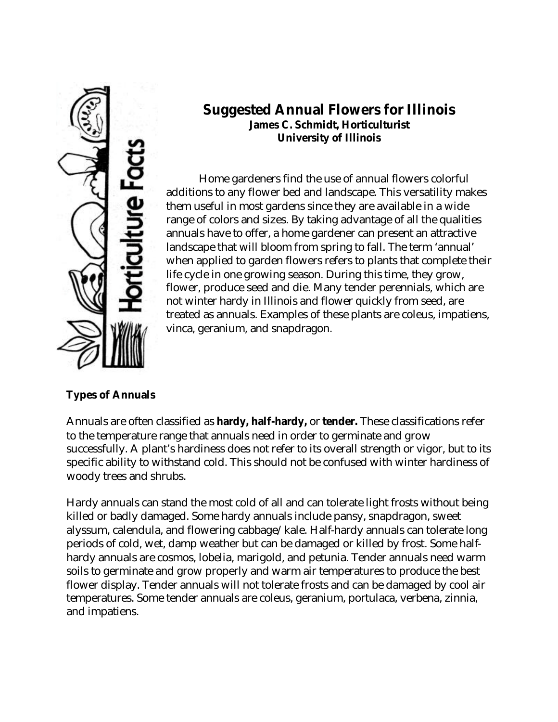

# **Suggested Annual Flowers for Illinois James C. Schmidt, Horticulturist University of Illinois**

Home gardeners find the use of annual flowers colorful additions to any flower bed and landscape. This versatility makes them useful in most gardens since they are available in a wide range of colors and sizes. By taking advantage of all the qualities annuals have to offer, a home gardener can present an attractive landscape that will bloom from spring to fall. The term 'annual' when applied to garden flowers refers to plants that complete their life cycle in one growing season. During this time, they grow, flower, produce seed and die. Many tender perennials, which are not winter hardy in Illinois and flower quickly from seed, are treated as annuals. Examples of these plants are coleus, impatiens, vinca, geranium, and snapdragon.

# **Types of Annuals**

Annuals are often classified as **hardy, half-hardy,** or **tender.** These classifications refer to the temperature range that annuals need in order to germinate and grow successfully. A plant's hardiness does not refer to its overall strength or vigor, but to its specific ability to withstand cold. This should not be confused with winter hardiness of woody trees and shrubs.

Hardy annuals can stand the most cold of all and can tolerate light frosts without being killed or badly damaged. Some hardy annuals include pansy, snapdragon, sweet alyssum, calendula, and flowering cabbage/kale. Half-hardy annuals can tolerate long periods of cold, wet, damp weather but can be damaged or killed by frost. Some halfhardy annuals are cosmos, lobelia, marigold, and petunia. Tender annuals need warm soils to germinate and grow properly and warm air temperatures to produce the best flower display. Tender annuals will not tolerate frosts and can be damaged by cool air temperatures. Some tender annuals are coleus, geranium, portulaca, verbena, zinnia, and impatiens.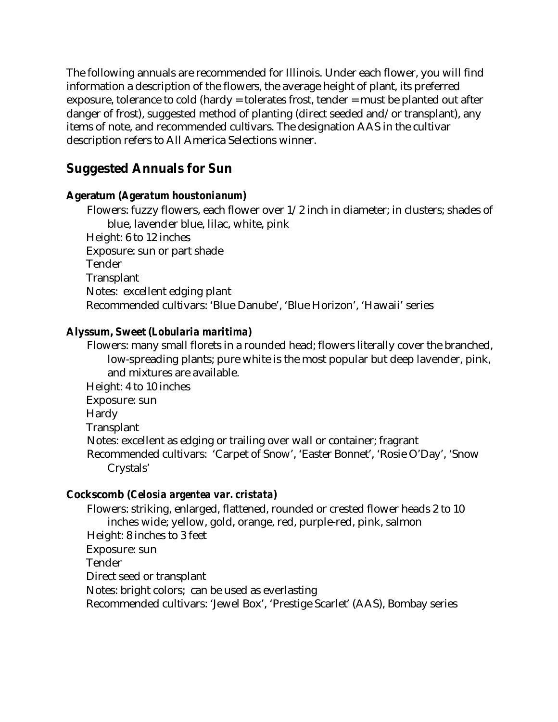The following annuals are recommended for Illinois. Under each flower, you will find information a description of the flowers, the average height of plant, its preferred exposure, tolerance to cold (hardy = tolerates frost, tender = must be planted out after danger of frost), suggested method of planting (direct seeded and/or transplant), any items of note, and recommended cultivars. The designation AAS in the cultivar description refers to All America Selections winner.

# **Suggested Annuals for Sun**

## **Ageratum (***Ageratum houstonianum***)**

Flowers: fuzzy flowers, each flower over 1/2 inch in diameter; in clusters; shades of blue, lavender blue, lilac, white, pink Height: 6 to 12 inches Exposure: sun or part shade Tender **Transplant** Notes: excellent edging plant Recommended cultivars: 'Blue Danube', 'Blue Horizon', 'Hawaii' series

## **Alyssum, Sweet (***Lobularia maritima***)**

Flowers: many small florets in a rounded head; flowers literally cover the branched, low-spreading plants; pure white is the most popular but deep lavender, pink, and mixtures are available.

Height: 4 to 10 inches Exposure: sun Hardy **Transplant** Notes: excellent as edging or trailing over wall or container; fragrant Recommended cultivars: 'Carpet of Snow', 'Easter Bonnet', 'Rosie O'Day', 'Snow Crystals'

## **Cockscomb (***Celosia argentea var. cristata***)**

Flowers: striking, enlarged, flattened, rounded or crested flower heads 2 to 10 inches wide; yellow, gold, orange, red, purple-red, pink, salmon Height: 8 inches to 3 feet Exposure: sun Tender Direct seed or transplant Notes: bright colors; can be used as everlasting Recommended cultivars: 'Jewel Box', 'Prestige Scarlet' (AAS), Bombay series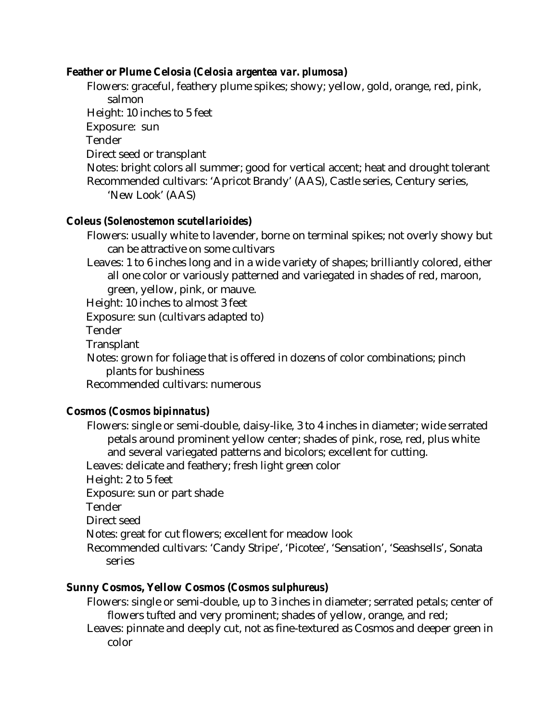### **Feather or Plume Celosia (***Celosia argentea var. plumosa***)**

Flowers: graceful, feathery plume spikes; showy; yellow, gold, orange, red, pink, salmon Height: 10 inches to 5 feet Exposure: sun Tender Direct seed or transplant Notes: bright colors all summer; good for vertical accent; heat and drought tolerant Recommended cultivars: 'Apricot Brandy' (AAS), Castle series, Century series, 'New Look' (AAS)

### **Coleus (***Solenostemon scutellarioides***)**

Flowers: usually white to lavender, borne on terminal spikes; not overly showy but can be attractive on some cultivars

Leaves: 1 to 6 inches long and in a wide variety of shapes; brilliantly colored, either all one color or variously patterned and variegated in shades of red, maroon, green, yellow, pink, or mauve.

Height: 10 inches to almost 3 feet

Exposure: sun (cultivars adapted to)

Tender

**Transplant** 

Notes: grown for foliage that is offered in dozens of color combinations; pinch plants for bushiness

Recommended cultivars: numerous

### **Cosmos (***Cosmos bipinnatus***)**

Flowers: single or semi-double, daisy-like, 3 to 4 inches in diameter; wide serrated petals around prominent yellow center; shades of pink, rose, red, plus white and several variegated patterns and bicolors; excellent for cutting. Leaves: delicate and feathery; fresh light green color Height: 2 to 5 feet Exposure: sun or part shade Tender Direct seed Notes: great for cut flowers; excellent for meadow look Recommended cultivars: 'Candy Stripe', 'Picotee', 'Sensation', 'Seashsells', Sonata series

### **Sunny Cosmos, Yellow Cosmos (***Cosmos sulphureus***)**

- Flowers: single or semi-double, up to 3 inches in diameter; serrated petals; center of flowers tufted and very prominent; shades of yellow, orange, and red;
- Leaves: pinnate and deeply cut, not as fine-textured as Cosmos and deeper green in color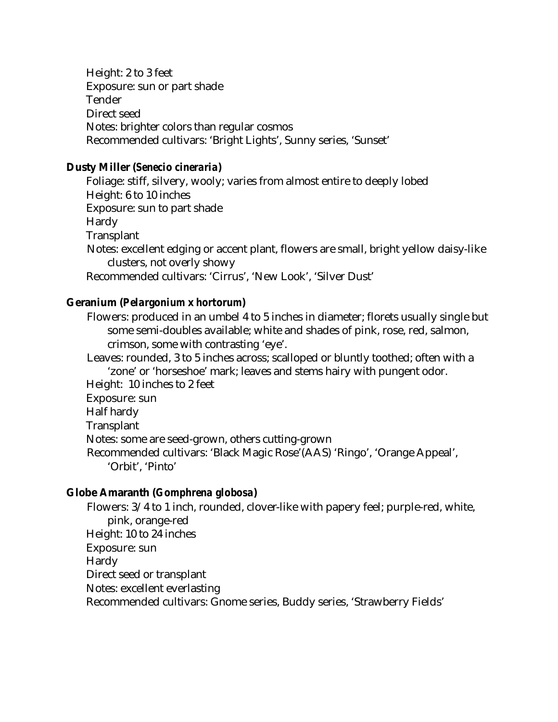Height: 2 to 3 feet Exposure: sun or part shade Tender Direct seed Notes: brighter colors than regular cosmos Recommended cultivars: 'Bright Lights', Sunny series, 'Sunset'

#### **Dusty Miller (***Senecio cineraria***)**

Foliage: stiff, silvery, wooly; varies from almost entire to deeply lobed Height: 6 to 10 inches Exposure: sun to part shade Hardy **Transplant** Notes: excellent edging or accent plant, flowers are small, bright yellow daisy-like clusters, not overly showy Recommended cultivars: 'Cirrus', 'New Look', 'Silver Dust'

### **Geranium (***Pelargonium* **x** *hortorum***)**

Flowers: produced in an umbel 4 to 5 inches in diameter; florets usually single but some semi-doubles available; white and shades of pink, rose, red, salmon, crimson, some with contrasting 'eye'.

Leaves: rounded, 3 to 5 inches across; scalloped or bluntly toothed; often with a 'zone' or 'horseshoe' mark; leaves and stems hairy with pungent odor. Height: 10 inches to 2 feet

- Exposure: sun Half hardy
- **Transplant**

Notes: some are seed-grown, others cutting-grown

Recommended cultivars: 'Black Magic Rose'(AAS) 'Ringo', 'Orange Appeal', 'Orbit', 'Pinto'

### **Globe Amaranth (***Gomphrena globosa***)**

Flowers: 3/4 to 1 inch, rounded, clover-like with papery feel; purple-red, white, pink, orange-red Height: 10 to 24 inches Exposure: sun Hardy Direct seed or transplant Notes: excellent everlasting Recommended cultivars: Gnome series, Buddy series, 'Strawberry Fields'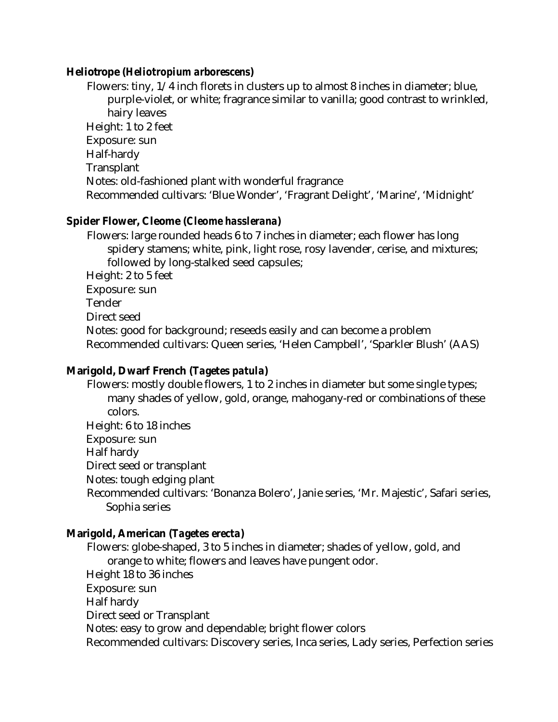#### **Heliotrope (***Heliotropium arborescens***)**

Flowers: tiny, 1/4 inch florets in clusters up to almost 8 inches in diameter; blue, purple-violet, or white; fragrance similar to vanilla; good contrast to wrinkled, hairy leaves Height: 1 to 2 feet Exposure: sun Half-hardy **Transplant** Notes: old-fashioned plant with wonderful fragrance Recommended cultivars: 'Blue Wonder', 'Fragrant Delight', 'Marine', 'Midnight'

#### **Spider Flower, Cleome (***Cleome hasslerana***)**

Flowers: large rounded heads 6 to 7 inches in diameter; each flower has long spidery stamens; white, pink, light rose, rosy lavender, cerise, and mixtures; followed by long-stalked seed capsules;

Height: 2 to 5 feet

Exposure: sun

Tender

Direct seed

Notes: good for background; reseeds easily and can become a problem Recommended cultivars: Queen series, 'Helen Campbell', 'Sparkler Blush' (AAS)

### **Marigold, Dwarf French (***Tagetes patula***)**

Flowers: mostly double flowers, 1 to 2 inches in diameter but some single types; many shades of yellow, gold, orange, mahogany-red or combinations of these colors.

Height: 6 to 18 inches

Exposure: sun

Half hardy

Direct seed or transplant

Notes: tough edging plant

Recommended cultivars: 'Bonanza Bolero', Janie series, 'Mr. Majestic', Safari series, Sophia series

### **Marigold, American (***Tagetes erecta***)**

Flowers: globe-shaped, 3 to 5 inches in diameter; shades of yellow, gold, and orange to white; flowers and leaves have pungent odor. Height 18 to 36 inches Exposure: sun Half hardy Direct seed or Transplant Notes: easy to grow and dependable; bright flower colors Recommended cultivars: Discovery series, Inca series, Lady series, Perfection series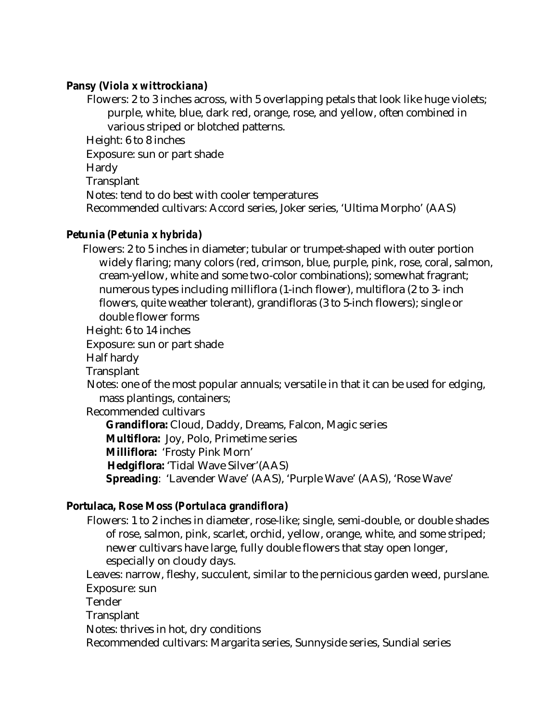## **Pansy (***Viola* **x** *wittrockiana***)**

Flowers: 2 to 3 inches across, with 5 overlapping petals that look like huge violets; purple, white, blue, dark red, orange, rose, and yellow, often combined in various striped or blotched patterns. Height: 6 to 8 inches Exposure: sun or part shade Hardy **Transplant** Notes: tend to do best with cooler temperatures Recommended cultivars: Accord series, Joker series, 'Ultima Morpho' (AAS)

## **Petunia (***Petunia* **x** *hybrida***)**

Flowers: 2 to 5 inches in diameter; tubular or trumpet-shaped with outer portion widely flaring; many colors (red, crimson, blue, purple, pink, rose, coral, salmon, cream-yellow, white and some two-color combinations); somewhat fragrant; numerous types including milliflora (1-inch flower), multiflora (2 to 3- inch flowers, quite weather tolerant), grandifloras (3 to 5-inch flowers); single or double flower forms

Height: 6 to 14 inches

Exposure: sun or part shade

Half hardy

**Transplant** 

Notes: one of the most popular annuals; versatile in that it can be used for edging, mass plantings, containers;

Recommended cultivars

**Grandiflora:** Cloud, Daddy, Dreams, Falcon, Magic series **Multiflora:** Joy, Polo, Primetime series **Milliflora:** 'Frosty Pink Morn' **Hedgiflora:** 'Tidal Wave Silver'(AAS) **Spreading**: 'Lavender Wave' (AAS), 'Purple Wave' (AAS), 'Rose Wave'

## **Portulaca, Rose Moss (***Portulaca grandiflora***)**

Flowers: 1 to 2 inches in diameter, rose-like; single, semi-double, or double shades of rose, salmon, pink, scarlet, orchid, yellow, orange, white, and some striped; newer cultivars have large, fully double flowers that stay open longer, especially on cloudy days.

Leaves: narrow, fleshy, succulent, similar to the pernicious garden weed, purslane. Exposure: sun

Tender

**Transplant** 

Notes: thrives in hot, dry conditions

Recommended cultivars: Margarita series, Sunnyside series, Sundial series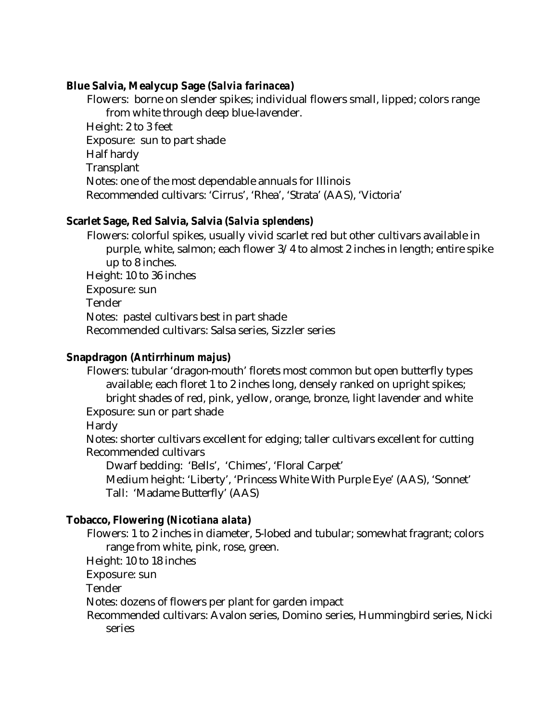#### **Blue Salvia, Mealycup Sage (***Salvia farinacea***)**

Flowers: borne on slender spikes; individual flowers small, lipped; colors range from white through deep blue-lavender. Height: 2 to 3 feet Exposure: sun to part shade Half hardy **Transplant** Notes: one of the most dependable annuals for Illinois Recommended cultivars: 'Cirrus', 'Rhea', 'Strata' (AAS), 'Victoria'

## **Scarlet Sage, Red Salvia, Salvia (***Salvia splendens***)**

Flowers: colorful spikes, usually vivid scarlet red but other cultivars available in purple, white, salmon; each flower 3/4 to almost 2 inches in length; entire spike up to 8 inches. Height: 10 to 36 inches Exposure: sun Tender Notes: pastel cultivars best in part shade Recommended cultivars: Salsa series, Sizzler series

## **Snapdragon (***Antirrhinum majus***)**

Flowers: tubular 'dragon-mouth' florets most common but open butterfly types available; each floret 1 to 2 inches long, densely ranked on upright spikes; bright shades of red, pink, yellow, orange, bronze, light lavender and white Exposure: sun or part shade

Hardy

Notes: shorter cultivars excellent for edging; taller cultivars excellent for cutting Recommended cultivars

Dwarf bedding:'Bells', 'Chimes', 'Floral Carpet'

Medium height: 'Liberty', 'Princess White With Purple Eye' (AAS), 'Sonnet' Tall:'Madame Butterfly' (AAS)

### **Tobacco, Flowering (***Nicotiana alata***)**

Flowers: 1 to 2 inches in diameter, 5-lobed and tubular; somewhat fragrant; colors range from white, pink, rose, green.

Height: 10 to 18 inches

Exposure: sun

Tender

Notes: dozens of flowers per plant for garden impact

Recommended cultivars: Avalon series, Domino series, Hummingbird series, Nicki series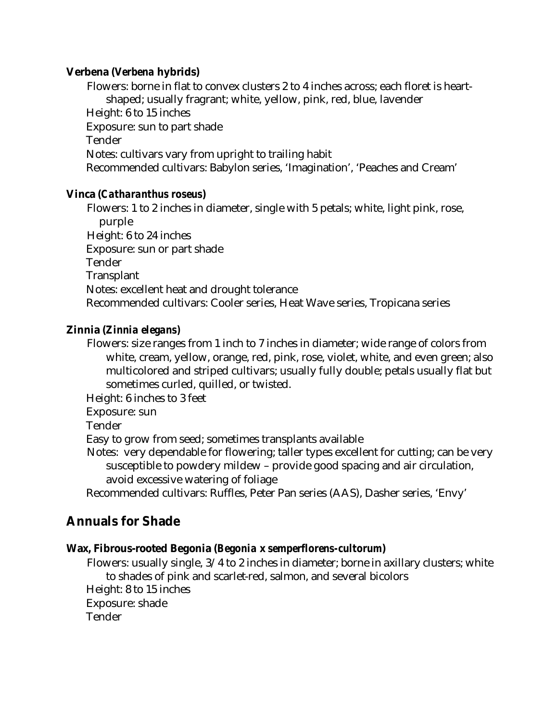## **Verbena (***Verbena* **hybrids)**

Flowers: borne in flat to convex clusters 2 to 4 inches across; each floret is heartshaped; usually fragrant; white, yellow, pink, red, blue, lavender Height: 6 to 15 inches Exposure: sun to part shade Tender Notes: cultivars vary from upright to trailing habit Recommended cultivars: Babylon series, 'Imagination', 'Peaches and Cream'

## **Vinca (***Catharanthus roseus***)**

Flowers: 1 to 2 inches in diameter, single with 5 petals; white, light pink, rose, purple Height: 6 to 24 inches Exposure: sun or part shade Tender **Transplant** Notes: excellent heat and drought tolerance Recommended cultivars: Cooler series, Heat Wave series, Tropicana series

## **Zinnia (***Zinnia elegans)*

Flowers: size ranges from 1 inch to 7 inches in diameter; wide range of colors from white, cream, yellow, orange, red, pink, rose, violet, white, and even green; also multicolored and striped cultivars; usually fully double; petals usually flat but sometimes curled, quilled, or twisted.

Height: 6 inches to 3 feet

Exposure: sun

**Tender** 

Easy to grow from seed; sometimes transplants available

Notes: very dependable for flowering; taller types excellent for cutting; can be very susceptible to powdery mildew – provide good spacing and air circulation, avoid excessive watering of foliage

Recommended cultivars: Ruffles, Peter Pan series (AAS), Dasher series, 'Envy'

# **Annuals for Shade**

## **Wax, Fibrous-rooted Begonia (***Begonia* **x** *semperflorens-cultorum***)**

Flowers: usually single, 3/4 to 2 inches in diameter; borne in axillary clusters; white to shades of pink and scarlet-red, salmon, and several bicolors Height: 8 to 15 inches Exposure: shade Tender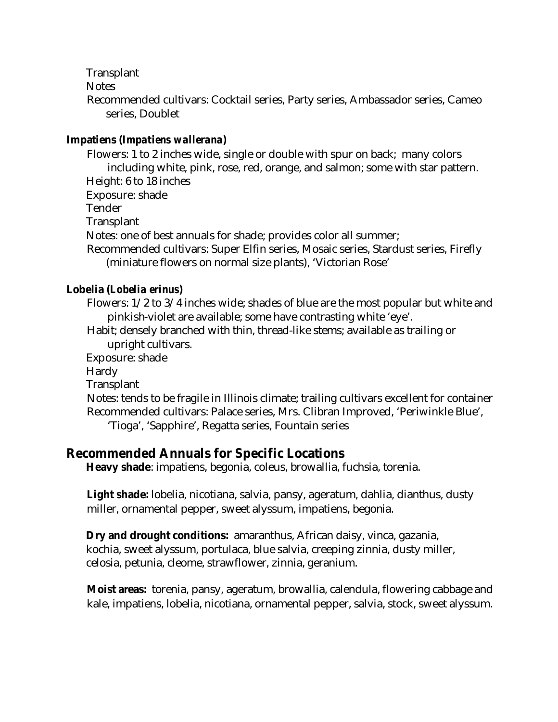**Transplant** 

**Notes** 

Recommended cultivars: Cocktail series, Party series, Ambassador series, Cameo series, Doublet

## **Impatiens (***Impatiens wallerana***)**

Flowers: 1 to 2 inches wide, single or double with spur on back; many colors including white, pink, rose, red, orange, and salmon; some with star pattern. Height: 6 to 18 inches Exposure: shade Tender **Transplant** Notes: one of best annuals for shade; provides color all summer; Recommended cultivars: Super Elfin series, Mosaic series, Stardust series, Firefly (miniature flowers on normal size plants), 'Victorian Rose'

## **Lobelia (***Lobelia erinus***)**

Flowers: 1/2 to 3/4 inches wide; shades of blue are the most popular but white and pinkish-violet are available; some have contrasting white 'eye'.

Habit; densely branched with thin, thread-like stems; available as trailing or upright cultivars.

Exposure: shade

Hardy

**Transplant** 

Notes: tends to be fragile in Illinois climate; trailing cultivars excellent for container Recommended cultivars: Palace series, Mrs. Clibran Improved, 'Periwinkle Blue', 'Tioga', 'Sapphire', Regatta series, Fountain series

## **Recommended Annuals for Specific Locations**

**Heavy shade**: impatiens, begonia, coleus, browallia, fuchsia, torenia.

**Light shade:** lobelia, nicotiana, salvia, pansy, ageratum, dahlia, dianthus, dusty miller, ornamental pepper, sweet alyssum, impatiens, begonia.

**Dry and drought conditions:** amaranthus, African daisy, vinca, gazania, kochia, sweet alyssum, portulaca, blue salvia, creeping zinnia, dusty miller, celosia, petunia, cleome, strawflower, zinnia, geranium.

**Moist areas:** torenia, pansy, ageratum, browallia, calendula, flowering cabbage and kale, impatiens, lobelia, nicotiana, ornamental pepper, salvia, stock, sweet alyssum.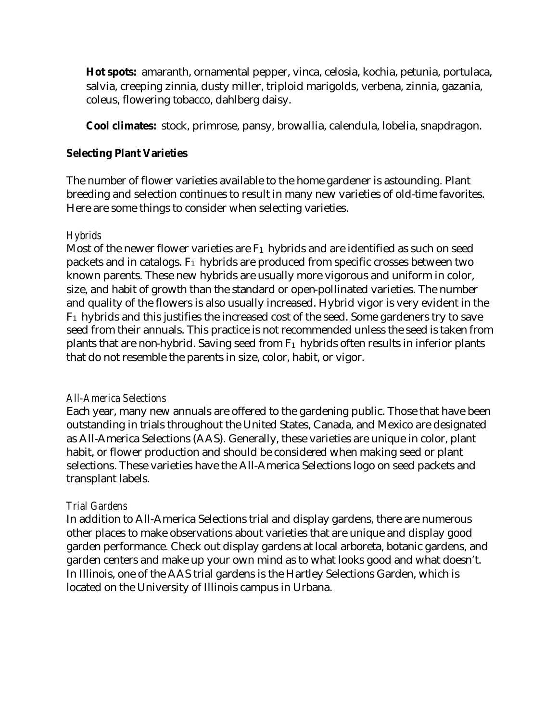**Hot spots:** amaranth, ornamental pepper, vinca, celosia, kochia, petunia, portulaca, salvia, creeping zinnia, dusty miller, triploid marigolds, verbena, zinnia, gazania, coleus, flowering tobacco, dahlberg daisy.

**Cool climates:** stock, primrose, pansy, browallia, calendula, lobelia, snapdragon.

## **Selecting Plant Varieties**

The number of flower varieties available to the home gardener is astounding. Plant breeding and selection continues to result in many new varieties of old-time favorites. Here are some things to consider when selecting varieties.

## *Hybrids*

Most of the newer flower varieties are  $F_1$  hybrids and are identified as such on seed packets and in catalogs.  $F_1$  hybrids are produced from specific crosses between two known parents. These new hybrids are usually more vigorous and uniform in color, size, and habit of growth than the standard or open-pollinated varieties. The number and quality of the flowers is also usually increased. Hybrid vigor is very evident in the F1 hybrids and this justifies the increased cost of the seed. Some gardeners try to save seed from their annuals. This practice is not recommended unless the seed is taken from plants that are non-hybrid. Saving seed from  $F_1$  hybrids often results in inferior plants that do not resemble the parents in size, color, habit, or vigor.

### *All-America Selections*

Each year, many new annuals are offered to the gardening public. Those that have been outstanding in trials throughout the United States, Canada, and Mexico are designated as All-America Selections (AAS). Generally, these varieties are unique in color, plant habit, or flower production and should be considered when making seed or plant selections. These varieties have the All-America Selections logo on seed packets and transplant labels.

## *Trial Gardens*

In addition to All-America Selections trial and display gardens, there are numerous other places to make observations about varieties that are unique and display good garden performance. Check out display gardens at local arboreta, botanic gardens, and garden centers and make up your own mind as to what looks good and what doesn't. In Illinois, one of the AAS trial gardens is the Hartley Selections Garden, which is located on the University of Illinois campus in Urbana.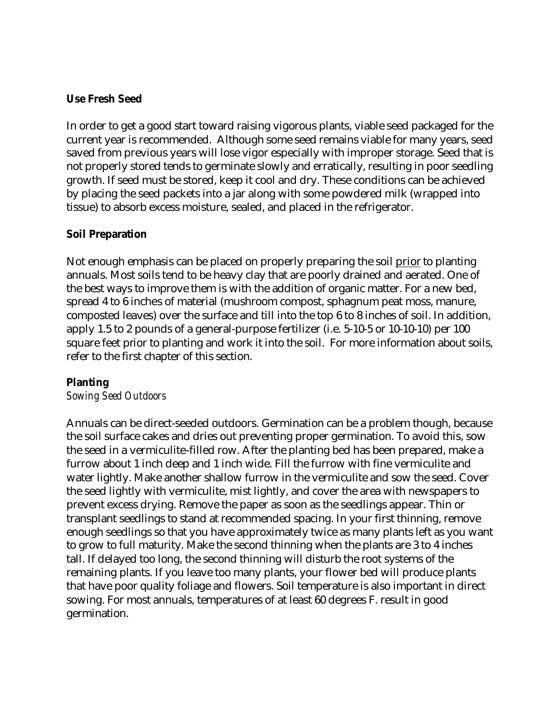## **Use Fresh Seed**

In order to get a good start toward raising vigorous plants, viable seed packaged for the current year is recommended. Although some seed remains viable for many years, seed saved from previous years will lose vigor especially with improper storage. Seed that is not properly stored tends to germinate slowly and erratically, resulting in poor seedling growth. If seed must be stored, keep it cool and dry. These conditions can be achieved by placing the seed packets into a jar along with some powdered milk (wrapped into tissue) to absorb excess moisture, sealed, and placed in the refrigerator.

## **Soil Preparation**

Not enough emphasis can be placed on properly preparing the soil prior to planting annuals. Most soils tend to be heavy clay that are poorly drained and aerated. One of the best ways to improve them is with the addition of organic matter. For a new bed, spread 4 to 6 inches of material (mushroom compost, sphagnum peat moss, manure, composted leaves) over the surface and till into the top 6 to 8 inches of soil. In addition, apply 1.5 to 2 pounds of a general-purpose fertilizer (i.e. 5-10-5 or 10-10-10) per 100 square feet prior to planting and work it into the soil. For more information about soils, refer to the first chapter of this section.

### **Planting**

### *Sowing Seed Outdoors*

Annuals can be direct-seeded outdoors. Germination can be a problem though, because the soil surface cakes and dries out preventing proper germination. To avoid this, sow the seed in a vermiculite-filled row. After the planting bed has been prepared, make a furrow about 1 inch deep and 1 inch wide. Fill the furrow with fine vermiculite and water lightly. Make another shallow furrow in the vermiculite and sow the seed. Cover the seed lightly with vermiculite, mist lightly, and cover the area with newspapers to prevent excess drying. Remove the paper as soon as the seedlings appear. Thin or transplant seedlings to stand at recommended spacing. In your first thinning, remove enough seedlings so that you have approximately twice as many plants left as you want to grow to full maturity. Make the second thinning when the plants are 3 to 4 inches tall. If delayed too long, the second thinning will disturb the root systems of the remaining plants. If you leave too many plants, your flower bed will produce plants that have poor quality foliage and flowers. Soil temperature is also important in direct sowing. For most annuals, temperatures of at least 60 degrees F. result in good germination.